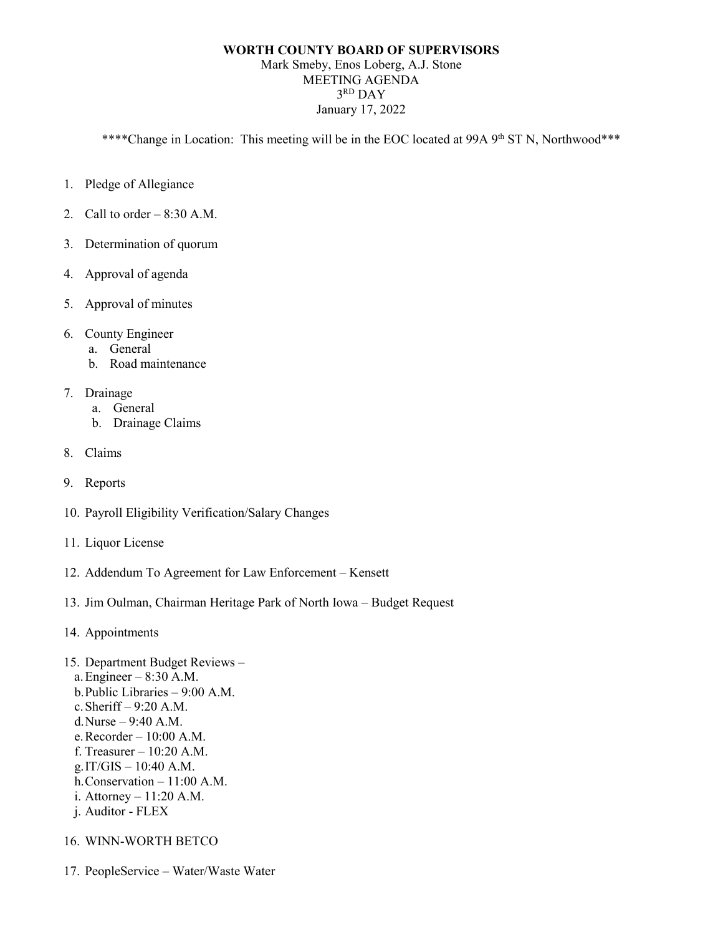## **WORTH COUNTY BOARD OF SUPERVISORS** Mark Smeby, Enos Loberg, A.J. Stone

MEETING AGENDA 3<sup>RD</sup> DAY January 17, 2022

\*\*\*\*Change in Location: This meeting will be in the EOC located at 99A 9<sup>th</sup> ST N, Northwood\*\*\*

- 1. Pledge of Allegiance
- 2. Call to order  $-8:30$  A.M.
- 3. Determination of quorum
- 4. Approval of agenda
- 5. Approval of minutes
- 6. County Engineer
	- a. General
	- b. Road maintenance
- 7. Drainage
	- a. General
	- b. Drainage Claims
- 8. Claims
- 9. Reports
- 10. Payroll Eligibility Verification/Salary Changes
- 11. Liquor License
- 12. Addendum To Agreement for Law Enforcement Kensett
- 13. Jim Oulman, Chairman Heritage Park of North Iowa Budget Request
- 14. Appointments
- 15. Department Budget Reviews a.Engineer – 8:30 A.M. b.Public Libraries – 9:00 A.M. c.Sheriff – 9:20 A.M. d.Nurse – 9:40 A.M. e.Recorder – 10:00 A.M. f. Treasurer – 10:20 A.M. g.IT/GIS – 10:40 A.M. h.Conservation – 11:00 A.M. i. Attorney – 11:20 A.M. j. Auditor - FLEX
- 16. WINN-WORTH BETCO
- 17. PeopleService Water/Waste Water